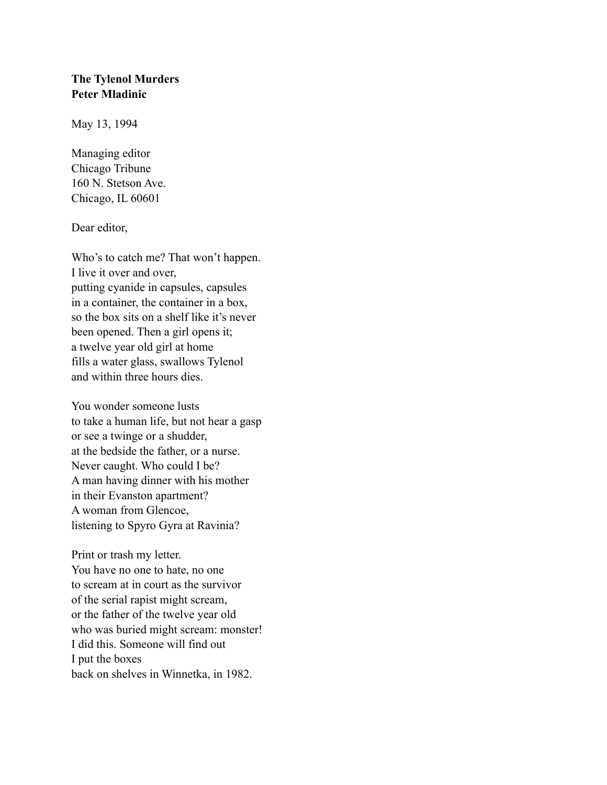## **The Tylenol Murders Peter Mladinic**

May 13, 1994

Managing editor Chicago Tribune 160 N. Stetson Ave. Chicago, IL 60601

## Dear editor,

Who's to catch me? That won't happen. I live it over and over, putting cyanide in capsules, capsules in a container, the container in a box, so the box sits on a shelf like it's never been opened. Then a girl opens it; a twelve year old girl at home fills a water glass, swallows Tylenol and within three hours dies.

You wonder someone lusts to take a human life, but not hear a gasp or see a twinge or a shudder, at the bedside the father, or a nurse. Never caught. Who could I be? A man having dinner with his mother in their Evanston apartment? A woman from Glencoe, listening to Spyro Gyra at Ravinia?

Print or trash my letter. You have no one to hate, no one to scream at in court as the survivor of the serial rapist might scream, or the father of the twelve year old who was buried might scream: monster! I did this. Someone will find out I put the boxes back on shelves in Winnetka, in 1982.